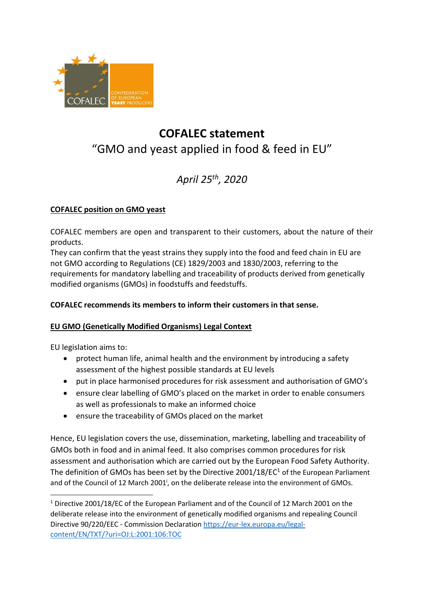

# **COFALEC statement**  "GMO and yeast applied in food & feed in EU"

# *April 25 th, 2020*

## **COFALEC position on GMO yeast**

COFALEC members are open and transparent to their customers, about the nature of their products.

They can confirm that the yeast strains they supply into the food and feed chain in EU are not GMO according to Regulations (CE) 1829/2003 and 1830/2003, referring to the requirements for mandatory labelling and traceability of products derived from genetically modified organisms (GMOs) in foodstuffs and feedstuffs.

# **COFALEC recommends its members to inform their customers in that sense.**

## **EU GMO (Genetically Modified Organisms) Legal Context**

EU legislation aims to:

- protect human life, animal health and the environment by introducing a safety assessment of the highest possible standards at EU levels
- put in place harmonised procedures for risk assessment and authorisation of GMO's
- ensure clear labelling of GMO's placed on the market in order to enable consumers as well as professionals to make an informed choice
- ensure the traceability of GMOs placed on the market

Hence, EU legislation covers the use, dissemination, marketing, labelling and traceability of GMOs both in food and in animal feed. It also comprises common procedures for risk assessment and authorisation which are carried out by the European Food Safety Authority. The definition of GMOs has been set by the Directive 2001/18/EC<sup>1</sup> of the European Parliament and of the Council of 12 March 2001<sup>;</sup>, on the deliberate release into the environment of GMOs.

<sup>1</sup> Directive 2001/18/EC of the European Parliament and of the Council of 12 March 2001 on the deliberate release into the environment of genetically modified organisms and repealing Council Directive 90/220/EEC - Commission Declaration [https://eur-lex.europa.eu/legal](https://eur-lex.europa.eu/legal-content/EN/TXT/?uri=OJ:L:2001:106:TOC)[content/EN/TXT/?uri=OJ:L:2001:106:TOC](https://eur-lex.europa.eu/legal-content/EN/TXT/?uri=OJ:L:2001:106:TOC)